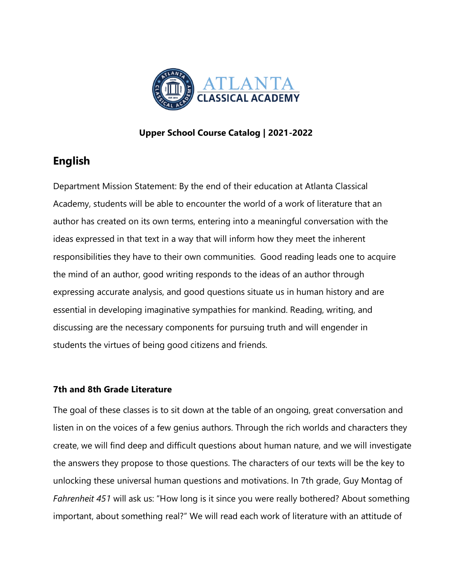

# **Upper School Course Catalog | 2021-2022**

# **English**

Department Mission Statement: By the end of their education at Atlanta Classical Academy, students will be able to encounter the world of a work of literature that an author has created on its own terms, entering into a meaningful conversation with the ideas expressed in that text in a way that will inform how they meet the inherent responsibilities they have to their own communities. Good reading leads one to acquire the mind of an author, good writing responds to the ideas of an author through expressing accurate analysis, and good questions situate us in human history and are essential in developing imaginative sympathies for mankind. Reading, writing, and discussing are the necessary components for pursuing truth and will engender in students the virtues of being good citizens and friends.

# **7th and 8th Grade Literature**

The goal of these classes is to sit down at the table of an ongoing, great conversation and listen in on the voices of a few genius authors. Through the rich worlds and characters they create, we will find deep and difficult questions about human nature, and we will investigate the answers they propose to those questions. The characters of our texts will be the key to unlocking these universal human questions and motivations. In 7th grade, Guy Montag of *Fahrenheit 451* will ask us: "How long is it since you were really bothered? About something important, about something real?" We will read each work of literature with an attitude of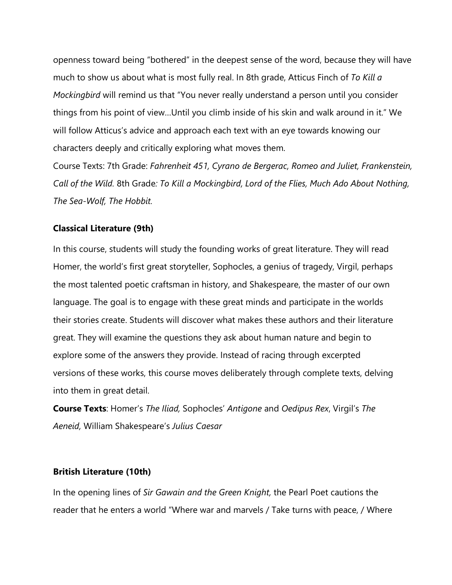openness toward being "bothered" in the deepest sense of the word, because they will have much to show us about what is most fully real. In 8th grade, Atticus Finch of *To Kill a Mockingbird* will remind us that "You never really understand a person until you consider things from his point of view…Until you climb inside of his skin and walk around in it." We will follow Atticus's advice and approach each text with an eye towards knowing our characters deeply and critically exploring what moves them.

Course Texts: 7th Grade: *Fahrenheit 451, Cyrano de Bergerac, Romeo and Juliet, Frankenstein, Call of the Wild.* 8th Grade*: To Kill a Mockingbird, Lord of the Flies, Much Ado About Nothing, The Sea-Wolf, The Hobbit.*

## **Classical Literature (9th)**

In this course, students will study the founding works of great literature. They will read Homer, the world's first great storyteller, Sophocles, a genius of tragedy, Virgil, perhaps the most talented poetic craftsman in history, and Shakespeare, the master of our own language. The goal is to engage with these great minds and participate in the worlds their stories create. Students will discover what makes these authors and their literature great. They will examine the questions they ask about human nature and begin to explore some of the answers they provide. Instead of racing through excerpted versions of these works, this course moves deliberately through complete texts, delving into them in great detail.

**Course Texts**: Homer's *The Iliad,* Sophocles' *Antigone* and *Oedipus Rex*, Virgil's *The Aeneid,* William Shakespeare's *Julius Caesar*

#### **British Literature (10th)**

In the opening lines of *Sir Gawain and the Green Knight,* the Pearl Poet cautions the reader that he enters a world "Where war and marvels / Take turns with peace, / Where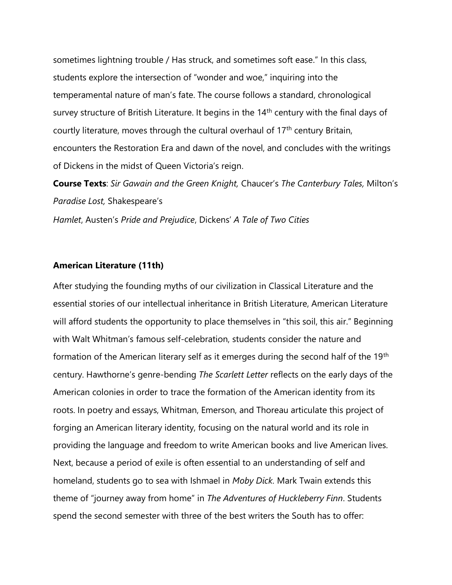sometimes lightning trouble / Has struck, and sometimes soft ease." In this class, students explore the intersection of "wonder and woe," inquiring into the temperamental nature of man's fate. The course follows a standard, chronological survey structure of British Literature. It begins in the 14<sup>th</sup> century with the final days of courtly literature, moves through the cultural overhaul of 17<sup>th</sup> century Britain, encounters the Restoration Era and dawn of the novel, and concludes with the writings of Dickens in the midst of Queen Victoria's reign.

**Course Texts**: *Sir Gawain and the Green Knight,* Chaucer's *The Canterbury Tales,* Milton's *Paradise Lost,* Shakespeare's

*Hamlet*, Austen's *Pride and Prejudice*, Dickens' *A Tale of Two Cities*

#### **American Literature (11th)**

After studying the founding myths of our civilization in Classical Literature and the essential stories of our intellectual inheritance in British Literature, American Literature will afford students the opportunity to place themselves in "this soil, this air." Beginning with Walt Whitman's famous self-celebration, students consider the nature and formation of the American literary self as it emerges during the second half of the 19th century. Hawthorne's genre-bending *The Scarlett Letter* reflects on the early days of the American colonies in order to trace the formation of the American identity from its roots. In poetry and essays, Whitman, Emerson, and Thoreau articulate this project of forging an American literary identity, focusing on the natural world and its role in providing the language and freedom to write American books and live American lives. Next, because a period of exile is often essential to an understanding of self and homeland, students go to sea with Ishmael in *Moby Dick.* Mark Twain extends this theme of "journey away from home" in *The Adventures of Huckleberry Finn*. Students spend the second semester with three of the best writers the South has to offer: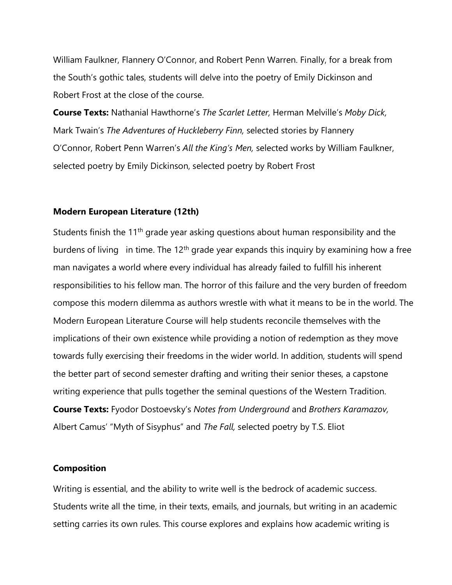William Faulkner, Flannery O'Connor, and Robert Penn Warren. Finally, for a break from the South's gothic tales, students will delve into the poetry of Emily Dickinson and Robert Frost at the close of the course.

**Course Texts:** Nathanial Hawthorne's *The Scarlet Letter,* Herman Melville's *Moby Dick,*  Mark Twain's *The Adventures of Huckleberry Finn,* selected stories by Flannery O'Connor, Robert Penn Warren's *All the King's Men,* selected works by William Faulkner, selected poetry by Emily Dickinson, selected poetry by Robert Frost

### **Modern European Literature (12th)**

Students finish the 11<sup>th</sup> grade year asking questions about human responsibility and the burdens of living in time. The 12<sup>th</sup> grade year expands this inquiry by examining how a free man navigates a world where every individual has already failed to fulfill his inherent responsibilities to his fellow man. The horror of this failure and the very burden of freedom compose this modern dilemma as authors wrestle with what it means to be in the world. The Modern European Literature Course will help students reconcile themselves with the implications of their own existence while providing a notion of redemption as they move towards fully exercising their freedoms in the wider world. In addition, students will spend the better part of second semester drafting and writing their senior theses, a capstone writing experience that pulls together the seminal questions of the Western Tradition. **Course Texts:** Fyodor Dostoevsky's *Notes from Underground* and *Brothers Karamazov,*  Albert Camus' "Myth of Sisyphus" and *The Fall,* selected poetry by T.S. Eliot

## **Composition**

Writing is essential, and the ability to write well is the bedrock of academic success. Students write all the time, in their texts, emails, and journals, but writing in an academic setting carries its own rules. This course explores and explains how academic writing is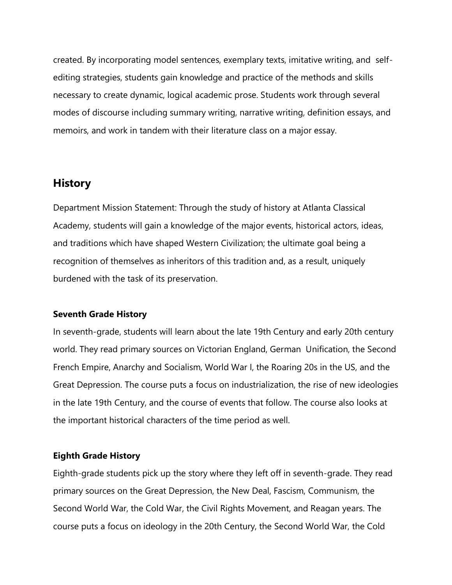created. By incorporating model sentences, exemplary texts, imitative writing, and selfediting strategies, students gain knowledge and practice of the methods and skills necessary to create dynamic, logical academic prose. Students work through several modes of discourse including summary writing, narrative writing, definition essays, and memoirs, and work in tandem with their literature class on a major essay.

# **History**

Department Mission Statement: Through the study of history at Atlanta Classical Academy, students will gain a knowledge of the major events, historical actors, ideas, and traditions which have shaped Western Civilization; the ultimate goal being a recognition of themselves as inheritors of this tradition and, as a result, uniquely burdened with the task of its preservation.

#### **Seventh Grade History**

In seventh-grade, students will learn about the late 19th Century and early 20th century world. They read primary sources on Victorian England, German Unification, the Second French Empire, Anarchy and Socialism, World War I, the Roaring 20s in the US, and the Great Depression. The course puts a focus on industrialization, the rise of new ideologies in the late 19th Century, and the course of events that follow. The course also looks at the important historical characters of the time period as well.

#### **Eighth Grade History**

Eighth-grade students pick up the story where they left off in seventh-grade. They read primary sources on the Great Depression, the New Deal, Fascism, Communism, the Second World War, the Cold War, the Civil Rights Movement, and Reagan years. The course puts a focus on ideology in the 20th Century, the Second World War, the Cold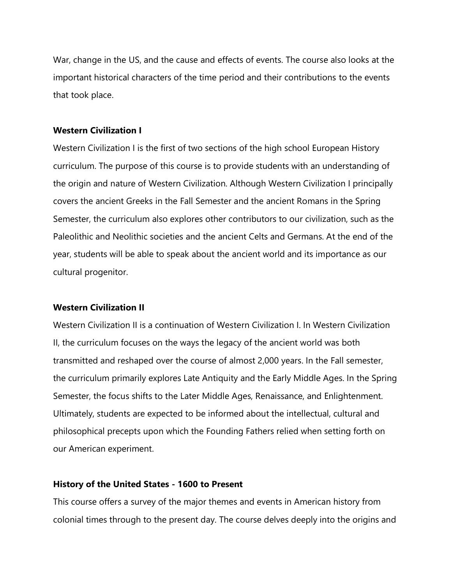War, change in the US, and the cause and effects of events. The course also looks at the important historical characters of the time period and their contributions to the events that took place.

## **Western Civilization I**

Western Civilization I is the first of two sections of the high school European History curriculum. The purpose of this course is to provide students with an understanding of the origin and nature of Western Civilization. Although Western Civilization I principally covers the ancient Greeks in the Fall Semester and the ancient Romans in the Spring Semester, the curriculum also explores other contributors to our civilization, such as the Paleolithic and Neolithic societies and the ancient Celts and Germans. At the end of the year, students will be able to speak about the ancient world and its importance as our cultural progenitor.

#### **Western Civilization II**

Western Civilization II is a continuation of Western Civilization I. In Western Civilization II, the curriculum focuses on the ways the legacy of the ancient world was both transmitted and reshaped over the course of almost 2,000 years. In the Fall semester, the curriculum primarily explores Late Antiquity and the Early Middle Ages. In the Spring Semester, the focus shifts to the Later Middle Ages, Renaissance, and Enlightenment. Ultimately, students are expected to be informed about the intellectual, cultural and philosophical precepts upon which the Founding Fathers relied when setting forth on our American experiment.

#### **History of the United States - 1600 to Present**

This course offers a survey of the major themes and events in American history from colonial times through to the present day. The course delves deeply into the origins and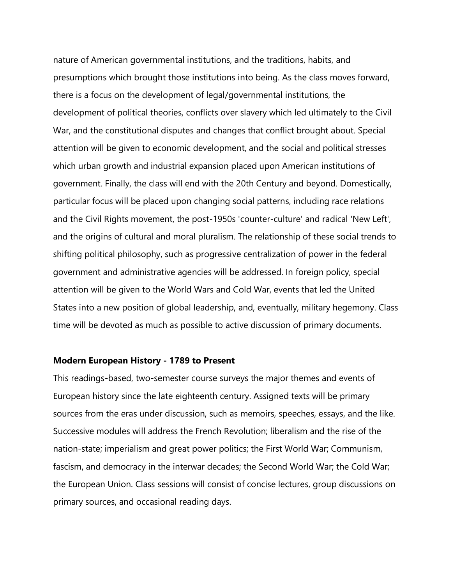nature of American governmental institutions, and the traditions, habits, and presumptions which brought those institutions into being. As the class moves forward, there is a focus on the development of legal/governmental institutions, the development of political theories, conflicts over slavery which led ultimately to the Civil War, and the constitutional disputes and changes that conflict brought about. Special attention will be given to economic development, and the social and political stresses which urban growth and industrial expansion placed upon American institutions of government. Finally, the class will end with the 20th Century and beyond. Domestically, particular focus will be placed upon changing social patterns, including race relations and the Civil Rights movement, the post-1950s 'counter-culture' and radical 'New Left', and the origins of cultural and moral pluralism. The relationship of these social trends to shifting political philosophy, such as progressive centralization of power in the federal government and administrative agencies will be addressed. In foreign policy, special attention will be given to the World Wars and Cold War, events that led the United States into a new position of global leadership, and, eventually, military hegemony. Class time will be devoted as much as possible to active discussion of primary documents.

#### **Modern European History - 1789 to Present**

This readings-based, two-semester course surveys the major themes and events of European history since the late eighteenth century. Assigned texts will be primary sources from the eras under discussion, such as memoirs, speeches, essays, and the like. Successive modules will address the French Revolution; liberalism and the rise of the nation-state; imperialism and great power politics; the First World War; Communism, fascism, and democracy in the interwar decades; the Second World War; the Cold War; the European Union. Class sessions will consist of concise lectures, group discussions on primary sources, and occasional reading days.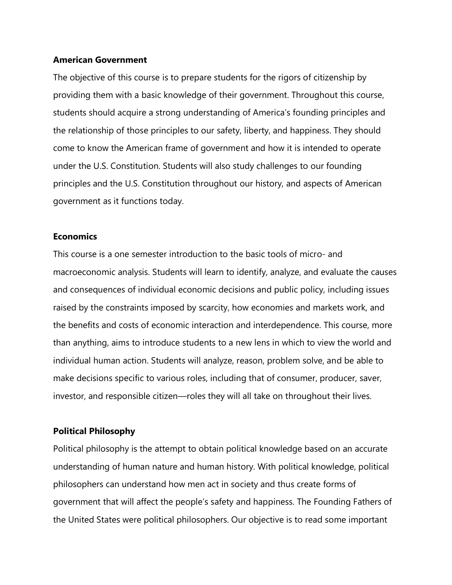#### **American Government**

The objective of this course is to prepare students for the rigors of citizenship by providing them with a basic knowledge of their government. Throughout this course, students should acquire a strong understanding of America's founding principles and the relationship of those principles to our safety, liberty, and happiness. They should come to know the American frame of government and how it is intended to operate under the U.S. Constitution. Students will also study challenges to our founding principles and the U.S. Constitution throughout our history, and aspects of American government as it functions today.

#### **Economics**

This course is a one semester introduction to the basic tools of micro- and macroeconomic analysis. Students will learn to identify, analyze, and evaluate the causes and consequences of individual economic decisions and public policy, including issues raised by the constraints imposed by scarcity, how economies and markets work, and the benefits and costs of economic interaction and interdependence. This course, more than anything, aims to introduce students to a new lens in which to view the world and individual human action. Students will analyze, reason, problem solve, and be able to make decisions specific to various roles, including that of consumer, producer, saver, investor, and responsible citizen—roles they will all take on throughout their lives.

#### **Political Philosophy**

Political philosophy is the attempt to obtain political knowledge based on an accurate understanding of human nature and human history. With political knowledge, political philosophers can understand how men act in society and thus create forms of government that will affect the people's safety and happiness. The Founding Fathers of the United States were political philosophers. Our objective is to read some important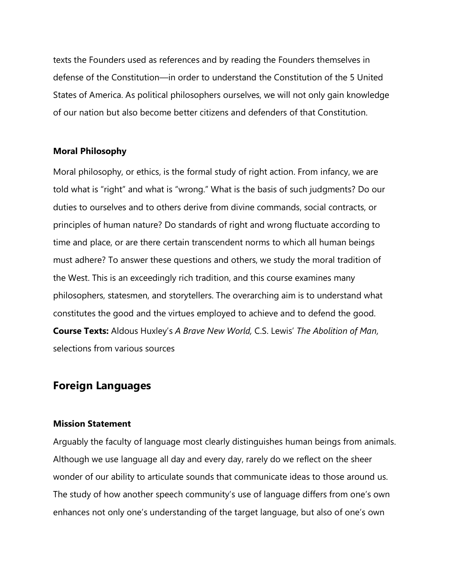texts the Founders used as references and by reading the Founders themselves in defense of the Constitution—in order to understand the Constitution of the 5 United States of America. As political philosophers ourselves, we will not only gain knowledge of our nation but also become better citizens and defenders of that Constitution.

#### **Moral Philosophy**

Moral philosophy, or ethics, is the formal study of right action. From infancy, we are told what is "right" and what is "wrong." What is the basis of such judgments? Do our duties to ourselves and to others derive from divine commands, social contracts, or principles of human nature? Do standards of right and wrong fluctuate according to time and place, or are there certain transcendent norms to which all human beings must adhere? To answer these questions and others, we study the moral tradition of the West. This is an exceedingly rich tradition, and this course examines many philosophers, statesmen, and storytellers. The overarching aim is to understand what constitutes the good and the virtues employed to achieve and to defend the good. **Course Texts:** Aldous Huxley's *A Brave New World,* C.S. Lewis' *The Abolition of Man,*  selections from various sources

# **Foreign Languages**

## **Mission Statement**

Arguably the faculty of language most clearly distinguishes human beings from animals. Although we use language all day and every day, rarely do we reflect on the sheer wonder of our ability to articulate sounds that communicate ideas to those around us. The study of how another speech community's use of language differs from one's own enhances not only one's understanding of the target language, but also of one's own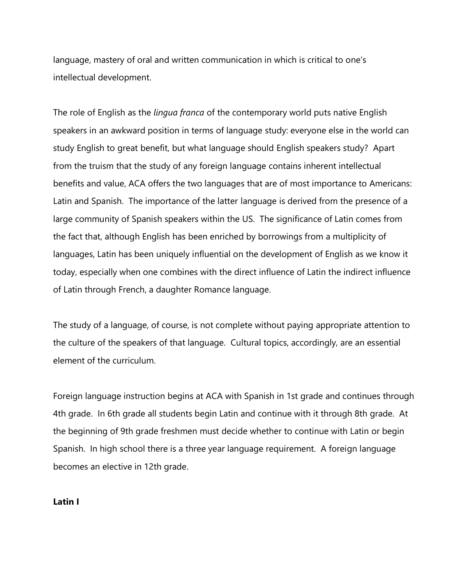language, mastery of oral and written communication in which is critical to one's intellectual development.

The role of English as the *lingua franca* of the contemporary world puts native English speakers in an awkward position in terms of language study: everyone else in the world can study English to great benefit, but what language should English speakers study? Apart from the truism that the study of any foreign language contains inherent intellectual benefits and value, ACA offers the two languages that are of most importance to Americans: Latin and Spanish. The importance of the latter language is derived from the presence of a large community of Spanish speakers within the US. The significance of Latin comes from the fact that, although English has been enriched by borrowings from a multiplicity of languages, Latin has been uniquely influential on the development of English as we know it today, especially when one combines with the direct influence of Latin the indirect influence of Latin through French, a daughter Romance language.

The study of a language, of course, is not complete without paying appropriate attention to the culture of the speakers of that language. Cultural topics, accordingly, are an essential element of the curriculum.

Foreign language instruction begins at ACA with Spanish in 1st grade and continues through 4th grade. In 6th grade all students begin Latin and continue with it through 8th grade. At the beginning of 9th grade freshmen must decide whether to continue with Latin or begin Spanish. In high school there is a three year language requirement. A foreign language becomes an elective in 12th grade.

**Latin I**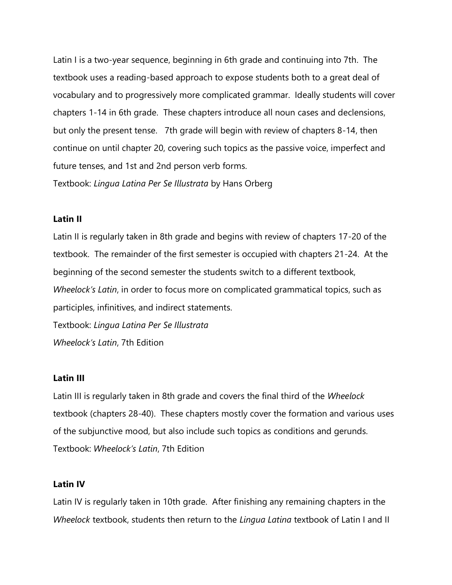Latin I is a two-year sequence, beginning in 6th grade and continuing into 7th. The textbook uses a reading-based approach to expose students both to a great deal of vocabulary and to progressively more complicated grammar. Ideally students will cover chapters 1-14 in 6th grade. These chapters introduce all noun cases and declensions, but only the present tense. 7th grade will begin with review of chapters 8-14, then continue on until chapter 20, covering such topics as the passive voice, imperfect and future tenses, and 1st and 2nd person verb forms.

Textbook: *Lingua Latina Per Se Illustrata* by Hans Orberg

#### **Latin II**

Latin II is regularly taken in 8th grade and begins with review of chapters 17-20 of the textbook. The remainder of the first semester is occupied with chapters 21-24. At the beginning of the second semester the students switch to a different textbook, *Wheelock's Latin*, in order to focus more on complicated grammatical topics, such as participles, infinitives, and indirect statements. Textbook: *Lingua Latina Per Se Illustrata*

*Wheelock's Latin*, 7th Edition

# **Latin III**

Latin III is regularly taken in 8th grade and covers the final third of the *Wheelock* textbook (chapters 28-40). These chapters mostly cover the formation and various uses of the subjunctive mood, but also include such topics as conditions and gerunds. Textbook: *Wheelock's Latin*, 7th Edition

#### **Latin IV**

Latin IV is regularly taken in 10th grade. After finishing any remaining chapters in the *Wheelock* textbook, students then return to the *Lingua Latina* textbook of Latin I and II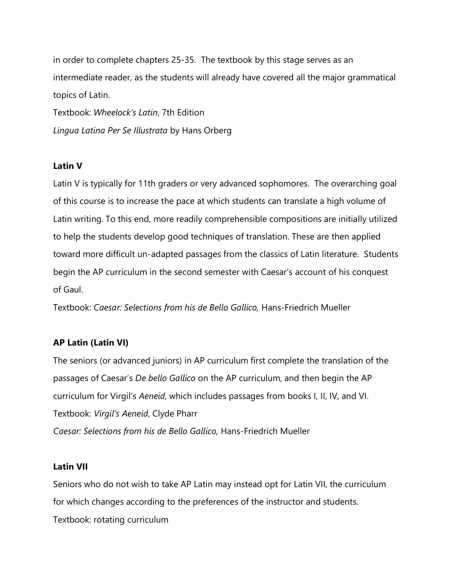in order to complete chapters 25-35. The textbook by this stage serves as an intermediate reader, as the students will already have covered all the major grammatical topics of Latin. Textbook: *Wheelock's Latin*, 7th Edition

*Lingua Latina Per Se Illustrata* by Hans Orberg

# **Latin V**

Latin V is typically for 11th graders or very advanced sophomores. The overarching goal of this course is to increase the pace at which students can translate a high volume of Latin writing. To this end, more readily comprehensible compositions are initially utilized to help the students develop good techniques of translation. These are then applied toward more difficult un-adapted passages from the classics of Latin literature. Students begin the AP curriculum in the second semester with Caesar's account of his conquest of Gaul.

Textbook: *Caesar: Selections from his de Bello Gallico,* Hans-Friedrich Mueller

# **AP Latin (Latin VI)**

The seniors (or advanced juniors) in AP curriculum first complete the translation of the passages of Caesar's *De bello Gallico* on the AP curriculum, and then begin the AP curriculum for Virgil's *Aeneid*, which includes passages from books I, II, IV, and VI. Textbook: *Virgil's Aeneid*, Clyde Pharr *Caesar: Selections from his de Bello Gallico,* Hans-Friedrich Mueller

# **Latin VII**

Seniors who do not wish to take AP Latin may instead opt for Latin VII, the curriculum for which changes according to the preferences of the instructor and students. Textbook: rotating curriculum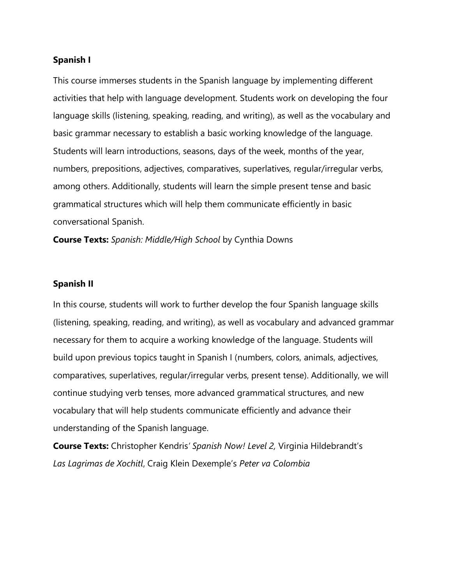#### **Spanish I**

This course immerses students in the Spanish language by implementing different activities that help with language development. Students work on developing the four language skills (listening, speaking, reading, and writing), as well as the vocabulary and basic grammar necessary to establish a basic working knowledge of the language. Students will learn introductions, seasons, days of the week, months of the year, numbers, prepositions, adjectives, comparatives, superlatives, regular/irregular verbs, among others. Additionally, students will learn the simple present tense and basic grammatical structures which will help them communicate efficiently in basic conversational Spanish.

**Course Texts:** *Spanish: Middle/High School* by Cynthia Downs

#### **Spanish II**

In this course, students will work to further develop the four Spanish language skills (listening, speaking, reading, and writing), as well as vocabulary and advanced grammar necessary for them to acquire a working knowledge of the language. Students will build upon previous topics taught in Spanish I (numbers, colors, animals, adjectives, comparatives, superlatives, regular/irregular verbs, present tense). Additionally, we will continue studying verb tenses, more advanced grammatical structures, and new vocabulary that will help students communicate efficiently and advance their understanding of the Spanish language.

**Course Texts:** Christopher Kendris*' Spanish Now! Level 2,* Virginia Hildebrandt's *Las Lagrimas de Xochitl*, Craig Klein Dexemple's *Peter va Colombia*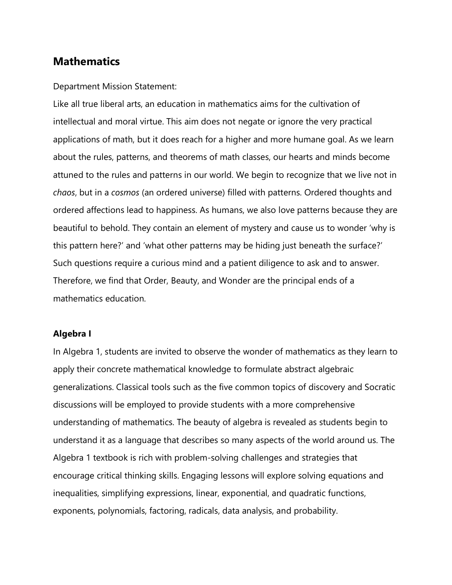# **Mathematics**

#### Department Mission Statement:

Like all true liberal arts, an education in mathematics aims for the cultivation of intellectual and moral virtue. This aim does not negate or ignore the very practical applications of math, but it does reach for a higher and more humane goal. As we learn about the rules, patterns, and theorems of math classes, our hearts and minds become attuned to the rules and patterns in our world. We begin to recognize that we live not in *chaos*, but in a *cosmos* (an ordered universe) filled with patterns. Ordered thoughts and ordered affections lead to happiness. As humans, we also love patterns because they are beautiful to behold. They contain an element of mystery and cause us to wonder 'why is this pattern here?' and 'what other patterns may be hiding just beneath the surface?' Such questions require a curious mind and a patient diligence to ask and to answer. Therefore, we find that Order, Beauty, and Wonder are the principal ends of a mathematics education.

#### **Algebra I**

In Algebra 1, students are invited to observe the wonder of mathematics as they learn to apply their concrete mathematical knowledge to formulate abstract algebraic generalizations. Classical tools such as the five common topics of discovery and Socratic discussions will be employed to provide students with a more comprehensive understanding of mathematics. The beauty of algebra is revealed as students begin to understand it as a language that describes so many aspects of the world around us. The Algebra 1 textbook is rich with problem-solving challenges and strategies that encourage critical thinking skills. Engaging lessons will explore solving equations and inequalities, simplifying expressions, linear, exponential, and quadratic functions, exponents, polynomials, factoring, radicals, data analysis, and probability.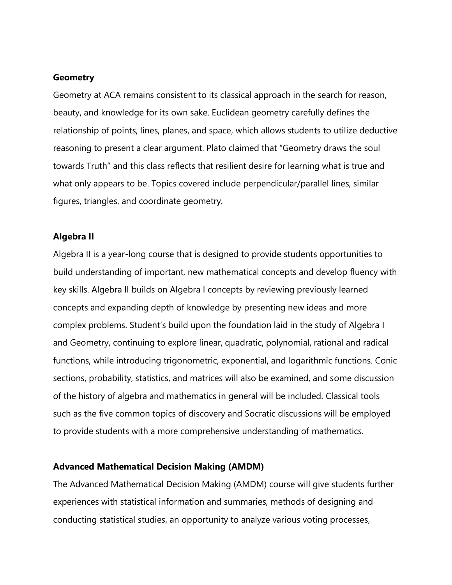#### **Geometry**

Geometry at ACA remains consistent to its classical approach in the search for reason, beauty, and knowledge for its own sake. Euclidean geometry carefully defines the relationship of points, lines, planes, and space, which allows students to utilize deductive reasoning to present a clear argument. Plato claimed that "Geometry draws the soul towards Truth" and this class reflects that resilient desire for learning what is true and what only appears to be. Topics covered include perpendicular/parallel lines, similar figures, triangles, and coordinate geometry.

## **Algebra II**

Algebra II is a year-long course that is designed to provide students opportunities to build understanding of important, new mathematical concepts and develop fluency with key skills. Algebra II builds on Algebra I concepts by reviewing previously learned concepts and expanding depth of knowledge by presenting new ideas and more complex problems. Student's build upon the foundation laid in the study of Algebra I and Geometry, continuing to explore linear, quadratic, polynomial, rational and radical functions, while introducing trigonometric, exponential, and logarithmic functions. Conic sections, probability, statistics, and matrices will also be examined, and some discussion of the history of algebra and mathematics in general will be included. Classical tools such as the five common topics of discovery and Socratic discussions will be employed to provide students with a more comprehensive understanding of mathematics.

#### **Advanced Mathematical Decision Making (AMDM)**

The Advanced Mathematical Decision Making (AMDM) course will give students further experiences with statistical information and summaries, methods of designing and conducting statistical studies, an opportunity to analyze various voting processes,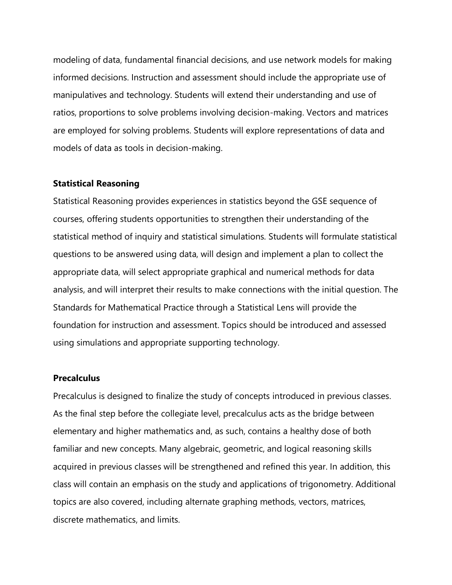modeling of data, fundamental financial decisions, and use network models for making informed decisions. Instruction and assessment should include the appropriate use of manipulatives and technology. Students will extend their understanding and use of ratios, proportions to solve problems involving decision-making. Vectors and matrices are employed for solving problems. Students will explore representations of data and models of data as tools in decision-making.

#### **Statistical Reasoning**

Statistical Reasoning provides experiences in statistics beyond the GSE sequence of courses, offering students opportunities to strengthen their understanding of the statistical method of inquiry and statistical simulations. Students will formulate statistical questions to be answered using data, will design and implement a plan to collect the appropriate data, will select appropriate graphical and numerical methods for data analysis, and will interpret their results to make connections with the initial question. The Standards for Mathematical Practice through a Statistical Lens will provide the foundation for instruction and assessment. Topics should be introduced and assessed using simulations and appropriate supporting technology.

# **Precalculus**

Precalculus is designed to finalize the study of concepts introduced in previous classes. As the final step before the collegiate level, precalculus acts as the bridge between elementary and higher mathematics and, as such, contains a healthy dose of both familiar and new concepts. Many algebraic, geometric, and logical reasoning skills acquired in previous classes will be strengthened and refined this year. In addition, this class will contain an emphasis on the study and applications of trigonometry. Additional topics are also covered, including alternate graphing methods, vectors, matrices, discrete mathematics, and limits.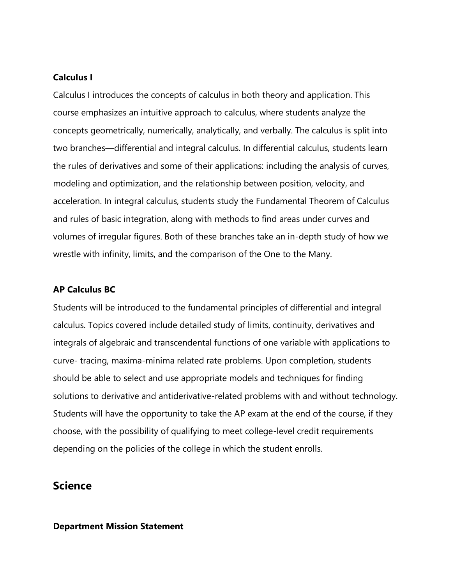# **Calculus I**

Calculus I introduces the concepts of calculus in both theory and application. This course emphasizes an intuitive approach to calculus, where students analyze the concepts geometrically, numerically, analytically, and verbally. The calculus is split into two branches—differential and integral calculus. In differential calculus, students learn the rules of derivatives and some of their applications: including the analysis of curves, modeling and optimization, and the relationship between position, velocity, and acceleration. In integral calculus, students study the Fundamental Theorem of Calculus and rules of basic integration, along with methods to find areas under curves and volumes of irregular figures. Both of these branches take an in-depth study of how we wrestle with infinity, limits, and the comparison of the One to the Many.

#### **AP Calculus BC**

Students will be introduced to the fundamental principles of differential and integral calculus. Topics covered include detailed study of limits, continuity, derivatives and integrals of algebraic and transcendental functions of one variable with applications to curve- tracing, maxima-minima related rate problems. Upon completion, students should be able to select and use appropriate models and techniques for finding solutions to derivative and antiderivative-related problems with and without technology. Students will have the opportunity to take the AP exam at the end of the course, if they choose, with the possibility of qualifying to meet college-level credit requirements depending on the policies of the college in which the student enrolls.

# **Science**

#### **Department Mission Statement**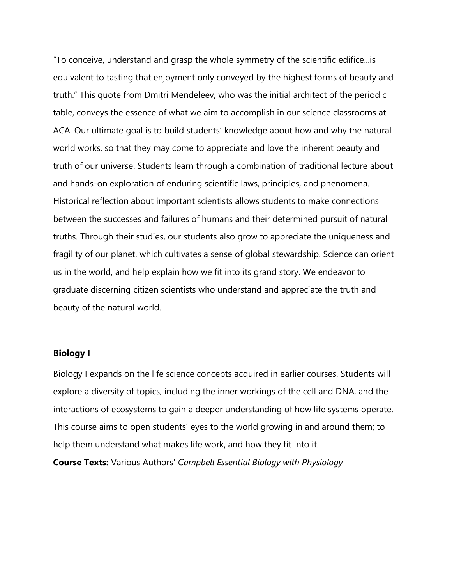"To conceive, understand and grasp the whole symmetry of the scientific edifice...is equivalent to tasting that enjoyment only conveyed by the highest forms of beauty and truth." This quote from Dmitri Mendeleev, who was the initial architect of the periodic table, conveys the essence of what we aim to accomplish in our science classrooms at ACA. Our ultimate goal is to build students' knowledge about how and why the natural world works, so that they may come to appreciate and love the inherent beauty and truth of our universe. Students learn through a combination of traditional lecture about and hands-on exploration of enduring scientific laws, principles, and phenomena. Historical reflection about important scientists allows students to make connections between the successes and failures of humans and their determined pursuit of natural truths. Through their studies, our students also grow to appreciate the uniqueness and fragility of our planet, which cultivates a sense of global stewardship. Science can orient us in the world, and help explain how we fit into its grand story. We endeavor to graduate discerning citizen scientists who understand and appreciate the truth and beauty of the natural world.

## **Biology I**

Biology I expands on the life science concepts acquired in earlier courses. Students will explore a diversity of topics, including the inner workings of the cell and DNA, and the interactions of ecosystems to gain a deeper understanding of how life systems operate. This course aims to open students' eyes to the world growing in and around them; to help them understand what makes life work, and how they fit into it.

**Course Texts:** Various Authors' *Campbell Essential Biology with Physiology*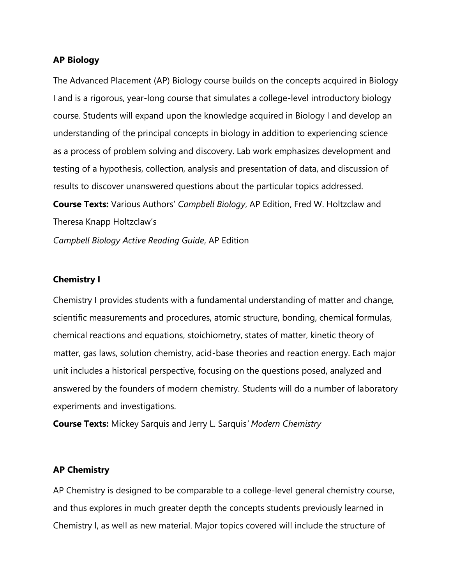#### **AP Biology**

The Advanced Placement (AP) Biology course builds on the concepts acquired in Biology I and is a rigorous, year-long course that simulates a college-level introductory biology course. Students will expand upon the knowledge acquired in Biology I and develop an understanding of the principal concepts in biology in addition to experiencing science as a process of problem solving and discovery. Lab work emphasizes development and testing of a hypothesis, collection, analysis and presentation of data, and discussion of results to discover unanswered questions about the particular topics addressed. **Course Texts:** Various Authors' *Campbell Biology*, AP Edition, Fred W. Holtzclaw and Theresa Knapp Holtzclaw's *Campbell Biology Active Reading Guide*, AP Edition

#### **Chemistry I**

Chemistry I provides students with a fundamental understanding of matter and change, scientific measurements and procedures, atomic structure, bonding, chemical formulas, chemical reactions and equations, stoichiometry, states of matter, kinetic theory of matter, gas laws, solution chemistry, acid-base theories and reaction energy. Each major unit includes a historical perspective, focusing on the questions posed, analyzed and answered by the founders of modern chemistry. Students will do a number of laboratory experiments and investigations.

**Course Texts:** Mickey Sarquis and Jerry L. Sarquis*' Modern Chemistry*

## **AP Chemistry**

AP Chemistry is designed to be comparable to a college-level general chemistry course, and thus explores in much greater depth the concepts students previously learned in Chemistry I, as well as new material. Major topics covered will include the structure of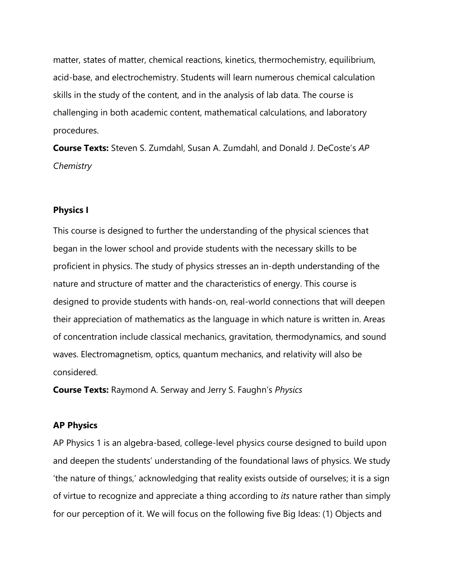matter, states of matter, chemical reactions, kinetics, thermochemistry, equilibrium, acid-base, and electrochemistry. Students will learn numerous chemical calculation skills in the study of the content, and in the analysis of lab data. The course is challenging in both academic content, mathematical calculations, and laboratory procedures.

**Course Texts:** Steven S. Zumdahl, Susan A. Zumdahl, and Donald J. DeCoste's *AP Chemistry*

#### **Physics I**

This course is designed to further the understanding of the physical sciences that began in the lower school and provide students with the necessary skills to be proficient in physics. The study of physics stresses an in-depth understanding of the nature and structure of matter and the characteristics of energy. This course is designed to provide students with hands-on, real-world connections that will deepen their appreciation of mathematics as the language in which nature is written in. Areas of concentration include classical mechanics, gravitation, thermodynamics, and sound waves. Electromagnetism, optics, quantum mechanics, and relativity will also be considered.

**Course Texts:** Raymond A. Serway and Jerry S. Faughn's *Physics*

#### **AP Physics**

AP Physics 1 is an algebra-based, college-level physics course designed to build upon and deepen the students' understanding of the foundational laws of physics. We study 'the nature of things,' acknowledging that reality exists outside of ourselves; it is a sign of virtue to recognize and appreciate a thing according to *its* nature rather than simply for our perception of it. We will focus on the following five Big Ideas: (1) Objects and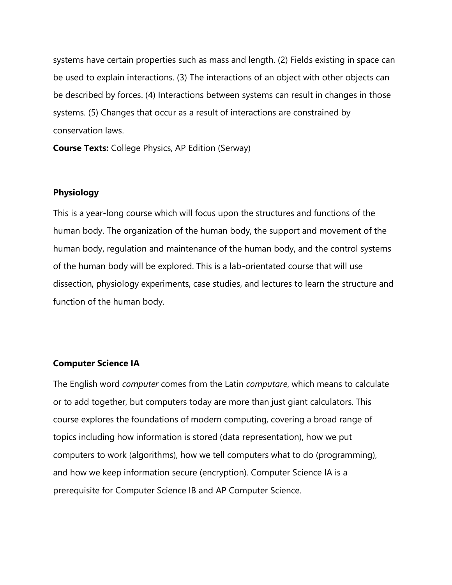systems have certain properties such as mass and length. (2) Fields existing in space can be used to explain interactions. (3) The interactions of an object with other objects can be described by forces. (4) Interactions between systems can result in changes in those systems. (5) Changes that occur as a result of interactions are constrained by conservation laws.

**Course Texts:** College Physics, AP Edition (Serway)

## **Physiology**

This is a year-long course which will focus upon the structures and functions of the human body. The organization of the human body, the support and movement of the human body, regulation and maintenance of the human body, and the control systems of the human body will be explored. This is a lab-orientated course that will use dissection, physiology experiments, case studies, and lectures to learn the structure and function of the human body.

# **Computer Science IA**

The English word *computer* comes from the Latin *computare*, which means to calculate or to add together, but computers today are more than just giant calculators. This course explores the foundations of modern computing, covering a broad range of topics including how information is stored (data representation), how we put computers to work (algorithms), how we tell computers what to do (programming), and how we keep information secure (encryption). Computer Science IA is a prerequisite for Computer Science IB and AP Computer Science.